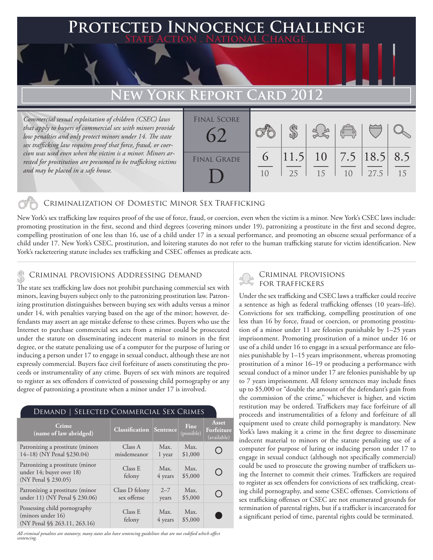# **PTED INNOCENCE CHALLENGE State Action . National Change.**

# **New York Report Card 2012**

*Commercial sexual exploitation of children (CSEC) laws that apply to buyers of commercial sex with minors provide low penalties and only protect minors under 14. The state sex trafficking law requires proof that force, fraud, or coercion was used even when the victim is a minor. Minors arrested for prostitution are presumed to be trafficking victims and may be placed in a safe house.*



# Criminalization of Domestic Minor Sex Trafficking

New York's sex trafficking law requires proof of the use of force, fraud, or coercion, even when the victim is a minor. New York's CSEC laws include: promoting prostitution in the first, second and third degrees (covering minors under 19), patronizing a prostitute in the first and second degree, compelling prostitution of one less than 16, use of a child under 17 in a sexual performance, and promoting an obscene sexual performance of a child under 17. New York's CSEC, prostitution, and loitering statutes do not refer to the human trafficking statute for victim identification. New York's racketeering statute includes sex trafficking and CSEC offenses as predicate acts.

### Criminal provisions Addressing demand \$

The state sex trafficking law does not prohibit purchasing commercial sex with minors, leaving buyers subject only to the patronizing prostitution law. Patronizing prostitution distinguishes between buying sex with adults versus a minor under 14, with penalties varying based on the age of the minor; however, defendants may assert an age mistake defense to these crimes. Buyers who use the Internet to purchase commercial sex acts from a minor could be prosecuted under the statute on disseminating indecent material to minors in the first degree, or the statute penalizing use of a computer for the purpose of luring or inducing a person under 17 to engage in sexual conduct, although these are not expressly commercial. Buyers face civil forfeiture of assets constituting the proceeds or instrumentality of any crime. Buyers of sex with minors are required to register as sex offenders if convicted of possessing child pornography or any degree of patronizing a prostitute when a minor under 17 is involved.

#### Demand | Selected Commercial Sex Crimes

| Crime<br>(name of law abridged)                                                    | <b>Classification Sentence</b> |                  | Fine<br>(possible) | Asset<br>Forfeiture<br>(available) |
|------------------------------------------------------------------------------------|--------------------------------|------------------|--------------------|------------------------------------|
| Patronizing a prostitute (minors<br>14-18) (NY Penal §230.04)                      | Class A<br>misdemeanor         | Max.<br>1 year   | Max.<br>\$1,000    |                                    |
| Patronizing a prostitute (minor<br>under 14; buyer over 18)<br>(NY Penal § 230.05) | Class E<br>felony              | Max.<br>4 years  | Max.<br>\$5,000    | ( )                                |
| Patronizing a prostitute (minor<br>under 11) (NY Penal § 230.06)                   | Class D felony<br>sex offense  | $2 - 7$<br>years | Max.<br>\$5,000    |                                    |
| Possessing child pornography<br>(minors under 16)<br>(NY Penal §§ 263.11, 263.16)  | Class E<br>felony              | Max.<br>4 years  | Max.<br>\$5,000    |                                    |

*All criminal penalties are statutory; many states also have sentencing guidelines that are not codified which affect sentencing.* 

# Criminal provisions for traffickers

Under the sex trafficking and CSEC laws a trafficker could receive a sentence as high as federal trafficking offenses (10 years–life). Convictions for sex trafficking, compelling prostitution of one less than 16 by force, fraud or coercion, or promoting prostitution of a minor under 11 are felonies punishable by 1–25 years imprisonment. Promoting prostitution of a minor under 16 or use of a child under 16 to engage in a sexual performance are felonies punishable by 1–15 years imprisonment, whereas promoting prostitution of a minor 16–19 or producing a performance with sexual conduct of a minor under 17 are felonies punishable by up to 7 years imprisonment. All felony sentences may include fines up to \$5,000 or "double the amount of the defendant's gain from the commission of the crime," whichever is higher, and victim restitution may be ordered. Traffickers may face forfeiture of all proceeds and instrumentalities of a felony and forfeiture of all equipment used to create child pornography is mandatory. New York's laws making it a crime in the first degree to disseminate indecent material to minors or the statute penalizing use of a computer for purpose of luring or inducing person under 17 to engage in sexual conduct (although not specifically commercial) could be used to prosecute the growing number of traffickers using the Internet to commit their crimes. Traffickers are required to register as sex offenders for convictions of sex trafficking, creating child pornography, and some CSEC offenses. Convictions of sex trafficking offenses or CSEC are not enumerated grounds for termination of parental rights, but if a trafficker is incarcerated for a significant period of time, parental rights could be terminated.